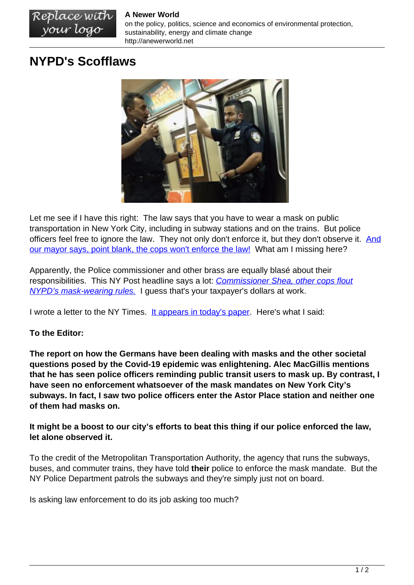## **A Newer World**

on the policy, politics, science and economics of environmental protection, sustainability, energy and climate change http://anewerworld.net

## **NYPD's Scofflaws**

Replace with<br>your logo



Let me see if I have this right: The law says that you have to wear a mask on public transportation in New York City, including in subway stations and on the trains. But police officers feel free to ignore the law. They not only don't enforce it, but they don't observe it. [And](https://abc7ny.com/mta-crackdown-face-mask-mandate-covering-compliance/11037984/) [our mayor says, point blank, the cops won't enforce the law!](https://abc7ny.com/mta-crackdown-face-mask-mandate-covering-compliance/11037984/) What am I missing here?

Apparently, the Police commissioner and other brass are equally blasé about their responsibilities. This NY Post headline says a lot: *[Commissioner Shea, other cops flout](https://nypost.com/2021/08/25/nypd-officials-seen-flouting-covid-19-mask-rule/)* [NYPD's mask-wearing rules.](https://nypost.com/2021/08/25/nypd-officials-seen-flouting-covid-19-mask-rule/) I guess that's your taxpayer's dollars at work.

I wrote a letter to the NY Times. [It appears in today's paper.](https://www.nytimes.com/2021/10/15/opinion/letters/covid-masks.html) Here's what I said:

## **To the Editor:**

**The report on how the Germans have been dealing with masks and the other societal questions posed by the Covid-19 epidemic was enlightening. Alec MacGillis mentions that he has seen police officers reminding public transit users to mask up. By contrast, I have seen no enforcement whatsoever of the mask mandates on New York City's subways. In fact, I saw two police officers enter the Astor Place station and neither one of them had masks on.**

**It might be a boost to our city's efforts to beat this thing if our police enforced the law, let alone observed it.**

To the credit of the Metropolitan Transportation Authority, the agency that runs the subways, buses, and commuter trains, they have told **their** police to enforce the mask mandate. But the NY Police Department patrols the subways and they're simply just not on board.

Is asking law enforcement to do its job asking too much?